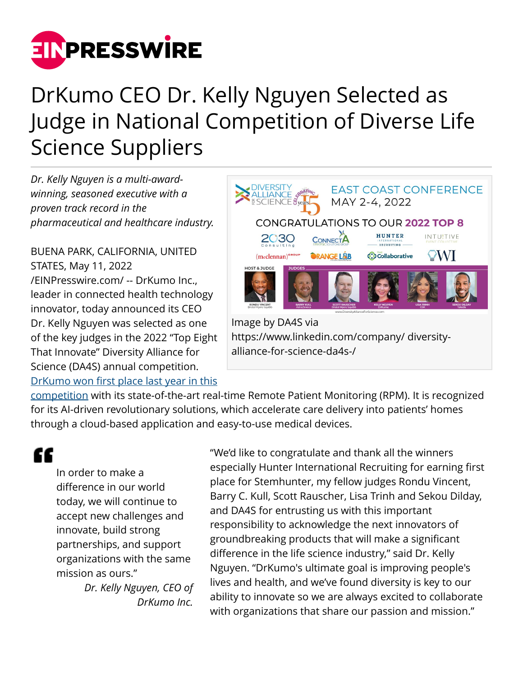

# DrKumo CEO Dr. Kelly Nguyen Selected as Judge in National Competition of Diverse Life Science Suppliers

*Dr. Kelly Nguyen is a multi-awardwinning, seasoned executive with a proven track record in the pharmaceutical and healthcare industry.*

BUENA PARK, CALIFORNIA, UNITED STATES, May 11, 2022 [/EINPresswire.com/](http://www.einpresswire.com) -- DrKumo Inc., leader in connected health technology innovator, today announced its CEO Dr. Kelly Nguyen was selected as one of the key judges in the 2022 "Top Eight That Innovate" Diversity Alliance for Science (DA4S) annual competition. [DrKumo won first place last year in this](https://drkumo.com/press-releases/drkumo-remote-patient-monitoring-leader-wins-da4s-innovator-of-the-year-2021/)



https://www.linkedin.com/company/ diversityalliance-for-science-da4s-/

[competition](https://drkumo.com/press-releases/drkumo-remote-patient-monitoring-leader-wins-da4s-innovator-of-the-year-2021/) with its state-of-the-art real-time Remote Patient Monitoring (RPM). It is recognized for its AI-driven revolutionary solutions, which accelerate care delivery into patients' homes through a cloud-based application and easy-to-use medical devices.

## ££

In order to make a difference in our world today, we will continue to accept new challenges and innovate, build strong partnerships, and support organizations with the same mission as ours."

> *Dr. Kelly Nguyen, CEO of DrKumo Inc.*

"We'd like to congratulate and thank all the winners especially Hunter International Recruiting for earning first place for Stemhunter, my fellow judges Rondu Vincent, Barry C. Kull, Scott Rauscher, Lisa Trinh and Sekou Dilday, and DA4S for entrusting us with this important responsibility to acknowledge the next innovators of groundbreaking products that will make a significant difference in the life science industry," said Dr. Kelly Nguyen. "DrKumo's ultimate goal is improving people's lives and health, and we've found diversity is key to our ability to innovate so we are always excited to collaborate with organizations that share our passion and mission."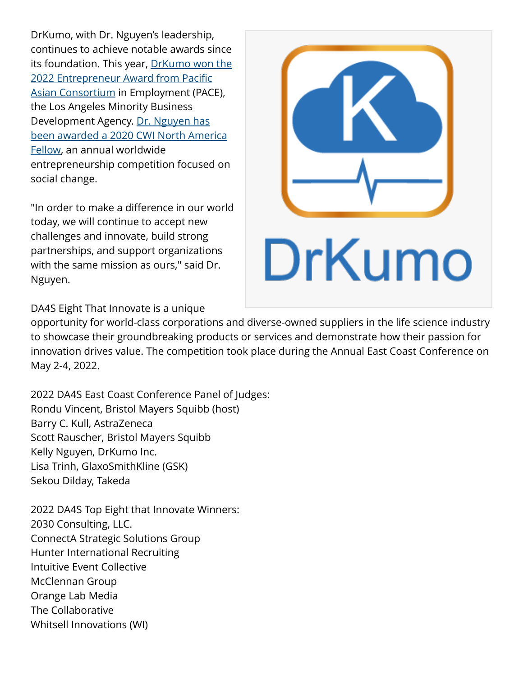DrKumo, with Dr. Nguyen's leadership, continues to achieve notable awards since its foundation. This year, [DrKumo won the](https://drkumo.com/press-releases/drkumo-leader-of-remote-patient-monitoring-and-disease-management-programs-wins-pace-2022-entrepreneur-award/) [2022 Entrepreneur Award from Pacific](https://drkumo.com/press-releases/drkumo-leader-of-remote-patient-monitoring-and-disease-management-programs-wins-pace-2022-entrepreneur-award/) [Asian Consortium](https://drkumo.com/press-releases/drkumo-leader-of-remote-patient-monitoring-and-disease-management-programs-wins-pace-2022-entrepreneur-award/) in Employment (PACE), the Los Angeles Minority Business Development Agency. [Dr. Nguyen has](https://drkumo.com/press-releases/drkumo-celebrates-international-womens-month-with-ceo-kelly-nguyen-2020-cwi-north-america-fellow/) [been awarded a 2020 CWI North America](https://drkumo.com/press-releases/drkumo-celebrates-international-womens-month-with-ceo-kelly-nguyen-2020-cwi-north-america-fellow/) [Fellow](https://drkumo.com/press-releases/drkumo-celebrates-international-womens-month-with-ceo-kelly-nguyen-2020-cwi-north-america-fellow/), an annual worldwide entrepreneurship competition focused on social change.

"In order to make a difference in our world today, we will continue to accept new challenges and innovate, build strong partnerships, and support organizations with the same mission as ours," said Dr. Nguyen.



DA4S Eight That Innovate is a unique

opportunity for world-class corporations and diverse-owned suppliers in the life science industry to showcase their groundbreaking products or services and demonstrate how their passion for innovation drives value. The competition took place during the Annual East Coast Conference on May 2-4, 2022.

2022 DA4S East Coast Conference Panel of Judges: Rondu Vincent, Bristol Mayers Squibb (host) Barry C. Kull, AstraZeneca Scott Rauscher, Bristol Mayers Squibb Kelly Nguyen, DrKumo Inc. Lisa Trinh, GlaxoSmithKline (GSK) Sekou Dilday, Takeda

2022 DA4S Top Eight that Innovate Winners: 2030 Consulting, LLC. ConnectA Strategic Solutions Group Hunter International Recruiting Intuitive Event Collective McClennan Group Orange Lab Media The Collaborative Whitsell Innovations (WI)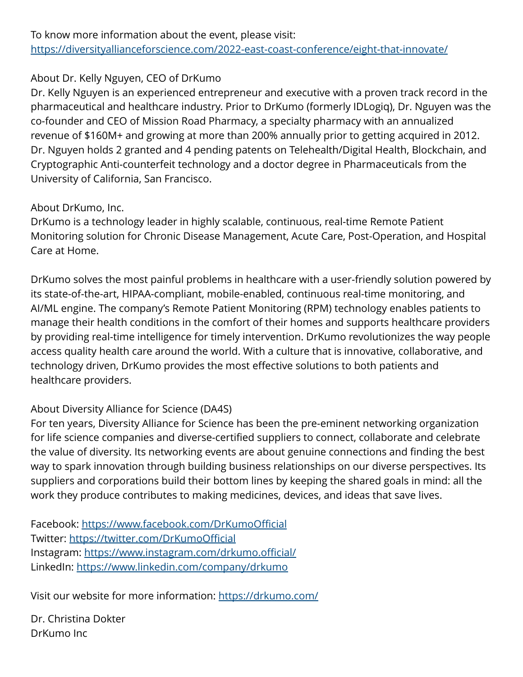#### About Dr. Kelly Nguyen, CEO of DrKumo

Dr. Kelly Nguyen is an experienced entrepreneur and executive with a proven track record in the pharmaceutical and healthcare industry. Prior to DrKumo (formerly IDLogiq), Dr. Nguyen was the co-founder and CEO of Mission Road Pharmacy, a specialty pharmacy with an annualized revenue of \$160M+ and growing at more than 200% annually prior to getting acquired in 2012. Dr. Nguyen holds 2 granted and 4 pending patents on Telehealth/Digital Health, Blockchain, and Cryptographic Anti-counterfeit technology and a doctor degree in Pharmaceuticals from the University of California, San Francisco.

### About DrKumo, Inc.

DrKumo is a technology leader in highly scalable, continuous, real-time Remote Patient Monitoring solution for Chronic Disease Management, Acute Care, Post-Operation, and Hospital Care at Home.

DrKumo solves the most painful problems in healthcare with a user-friendly solution powered by its state-of-the-art, HIPAA-compliant, mobile-enabled, continuous real-time monitoring, and AI/ML engine. The company's Remote Patient Monitoring (RPM) technology enables patients to manage their health conditions in the comfort of their homes and supports healthcare providers by providing real-time intelligence for timely intervention. DrKumo revolutionizes the way people access quality health care around the world. With a culture that is innovative, collaborative, and technology driven, DrKumo provides the most effective solutions to both patients and healthcare providers.

#### About Diversity Alliance for Science (DA4S)

For ten years, Diversity Alliance for Science has been the pre-eminent networking organization for life science companies and diverse-certified suppliers to connect, collaborate and celebrate the value of diversity. Its networking events are about genuine connections and finding the best way to spark innovation through building business relationships on our diverse perspectives. Its suppliers and corporations build their bottom lines by keeping the shared goals in mind: all the work they produce contributes to making medicines, devices, and ideas that save lives.

Facebook: <https://www.facebook.com/DrKumoOfficial> Twitter:<https://twitter.com/DrKumoOfficial> Instagram: <https://www.instagram.com/drkumo.official/> LinkedIn: <https://www.linkedin.com/company/drkumo>

Visit our website for more information: <https://drkumo.com/>

Dr. Christina Dokter DrKumo Inc